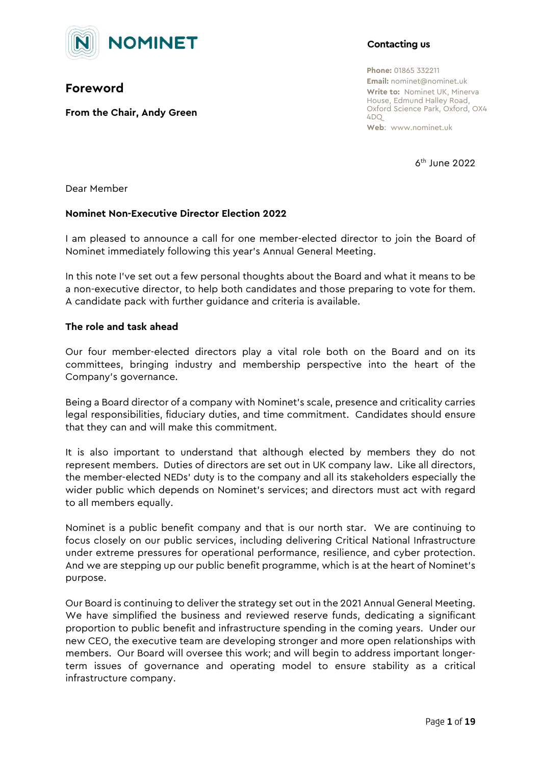

# **Foreword**

**From the Chair, Andy Green**

## **Contacting us**

**Phone:** 01865 332211 **Email:** nominet@nominet.uk **Write to:** Nominet UK, Minerva House, Edmund Halley Road, Oxford Science Park, Oxford, OX4  $4DD$ **Web**: www.nominet.uk

 $6<sup>th</sup>$  June 2022

Dear Member

## **Nominet Non-Executive Director Election 2022**

I am pleased to announce a call for one member-elected director to join the Board of Nominet immediately following this year's Annual General Meeting.

In this note I've set out a few personal thoughts about the Board and what it means to be a non-executive director, to help both candidates and those preparing to vote for them. A candidate pack with further guidance and criteria is available.

### **The role and task ahead**

Our four member-elected directors play a vital role both on the Board and on its committees, bringing industry and membership perspective into the heart of the Company's governance.

Being a Board director of a company with Nominet's scale, presence and criticality carries legal responsibilities, fiduciary duties, and time commitment. Candidates should ensure that they can and will make this commitment.

It is also important to understand that although elected by members they do not represent members. Duties of directors are set out in UK company law. Like all directors, the member-elected NEDs' duty is to the company and all its stakeholders especially the wider public which depends on Nominet's services; and directors must act with regard to all members equally.

Nominet is a public benefit company and that is our north star. We are continuing to focus closely on our public services, including delivering Critical National Infrastructure under extreme pressures for operational performance, resilience, and cyber protection. And we are stepping up our public benefit programme, which is at the heart of Nominet's purpose.

Our Board is continuing to deliver the strategy set out in the 2021 Annual General Meeting. We have simplified the business and reviewed reserve funds, dedicating a significant proportion to public benefit and infrastructure spending in the coming years. Under our new CEO, the executive team are developing stronger and more open relationships with members. Our Board will oversee this work; and will begin to address important longerterm issues of governance and operating model to ensure stability as a critical infrastructure company.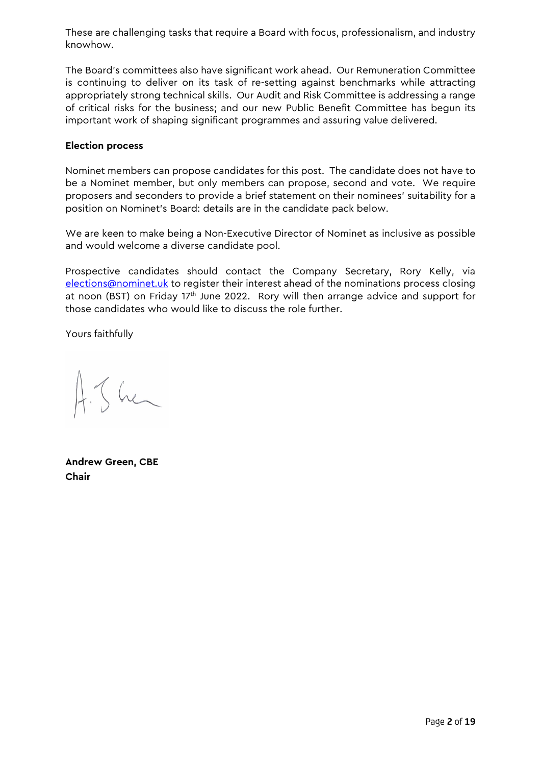These are challenging tasks that require a Board with focus, professionalism, and industry knowhow.

The Board's committees also have significant work ahead. Our Remuneration Committee is continuing to deliver on its task of re-setting against benchmarks while attracting appropriately strong technical skills. Our Audit and Risk Committee is addressing a range of critical risks for the business; and our new Public Benefit Committee has begun its important work of shaping significant programmes and assuring value delivered.

#### **Election process**

Nominet members can propose candidates for this post. The candidate does not have to be a Nominet member, but only members can propose, second and vote. We require proposers and seconders to provide a brief statement on their nominees' suitability for a position on Nominet's Board: details are in the candidate pack below.

We are keen to make being a Non-Executive Director of Nominet as inclusive as possible and would welcome a diverse candidate pool.

Prospective candidates should contact the Company Secretary, Rory Kelly, via [elections@nominet.uk](mailto:elections@nominet.uk) to register their interest ahead of the nominations process closing at noon (BST) on Friday 17<sup>th</sup> June 2022. Rory will then arrange advice and support for those candidates who would like to discuss the role further.

Yours faithfully

 $4.5$  her

**Andrew Green, CBE Chair**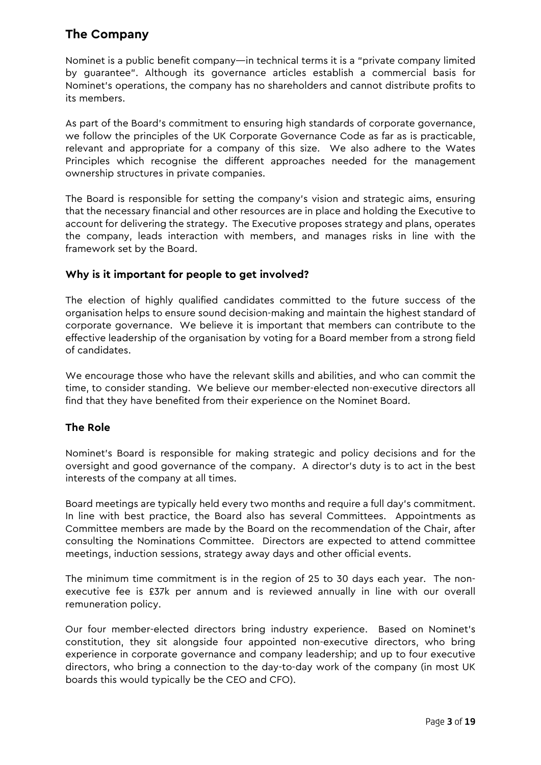# **The Company**

Nominet is a public benefit company—in technical terms it is a "private company limited by guarantee". Although its governance articles establish a commercial basis for Nominet's operations, the company has no shareholders and cannot distribute profits to its members.

As part of the Board's commitment to ensuring high standards of corporate governance, we follow the principles of the UK Corporate Governance Code as far as is practicable, relevant and appropriate for a company of this size. We also adhere to the Wates Principles which recognise the different approaches needed for the management ownership structures in private companies.

The Board is responsible for setting the company's vision and strategic aims, ensuring that the necessary financial and other resources are in place and holding the Executive to account for delivering the strategy. The Executive proposes strategy and plans, operates the company, leads interaction with members, and manages risks in line with the framework set by the Board.

## **Why is it important for people to get involved?**

The election of highly qualified candidates committed to the future success of the organisation helps to ensure sound decision-making and maintain the highest standard of corporate governance. We believe it is important that members can contribute to the effective leadership of the organisation by voting for a Board member from a strong field of candidates.

We encourage those who have the relevant skills and abilities, and who can commit the time, to consider standing. We believe our member-elected non-executive directors all find that they have benefited from their experience on the Nominet Board.

## **The Role**

Nominet's Board is responsible for making strategic and policy decisions and for the oversight and good governance of the company. A director's duty is to act in the best interests of the company at all times.

Board meetings are typically held every two months and require a full day's commitment. In line with best practice, the Board also has several Committees. Appointments as Committee members are made by the Board on the recommendation of the Chair, after consulting the Nominations Committee. Directors are expected to attend committee meetings, induction sessions, strategy away days and other official events.

The minimum time commitment is in the region of 25 to 30 days each year. The nonexecutive fee is £37k per annum and is reviewed annually in line with our overall remuneration policy.

Our four member-elected directors bring industry experience. Based on Nominet's constitution, they sit alongside four appointed non-executive directors, who bring experience in corporate governance and company leadership; and up to four executive directors, who bring a connection to the day-to-day work of the company (in most UK boards this would typically be the CEO and CFO).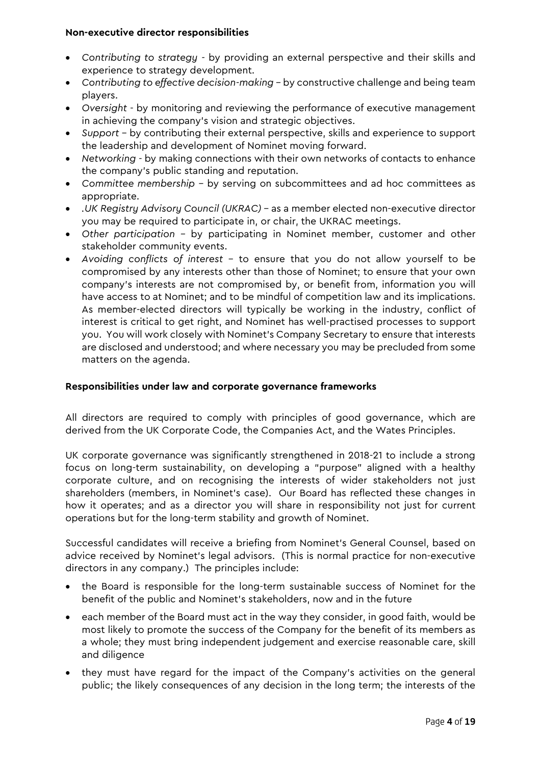#### **Non-executive director responsibilities**

- *Contributing to strategy -* by providing an external perspective and their skills and experience to strategy development.
- *Contributing to effective decision-making*  by constructive challenge and being team players.
- *Oversight*  by monitoring and reviewing the performance of executive management in achieving the company's vision and strategic objectives.
- *Support*  by contributing their external perspective, skills and experience to support the leadership and development of Nominet moving forward.
- *Networking -* by making connections with their own networks of contacts to enhance the company's public standing and reputation.
- *Committee membership –* by serving on subcommittees and ad hoc committees as appropriate.
- *.UK Registry Advisory Council (UKRAC)* as a member elected non-executive director you may be required to participate in, or chair, the UKRAC meetings.
- *Other participation –* by participating in Nominet member, customer and other stakeholder community events.
- *Avoiding conflicts of interest* to ensure that you do not allow yourself to be compromised by any interests other than those of Nominet; to ensure that your own company's interests are not compromised by, or benefit from, information you will have access to at Nominet; and to be mindful of competition law and its implications. As member-elected directors will typically be working in the industry, conflict of interest is critical to get right, and Nominet has well-practised processes to support you. You will work closely with Nominet's Company Secretary to ensure that interests are disclosed and understood; and where necessary you may be precluded from some matters on the agenda.

#### **Responsibilities under law and corporate governance frameworks**

All directors are required to comply with principles of good governance, which are derived from the UK Corporate Code, the Companies Act, and the Wates Principles.

UK corporate governance was significantly strengthened in 2018-21 to include a strong focus on long-term sustainability, on developing a "purpose" aligned with a healthy corporate culture, and on recognising the interests of wider stakeholders not just shareholders (members, in Nominet's case). Our Board has reflected these changes in how it operates; and as a director you will share in responsibility not just for current operations but for the long-term stability and growth of Nominet.

Successful candidates will receive a briefing from Nominet's General Counsel, based on advice received by Nominet's legal advisors. (This is normal practice for non-executive directors in any company.) The principles include:

- the Board is responsible for the long-term sustainable success of Nominet for the benefit of the public and Nominet's stakeholders, now and in the future
- each member of the Board must act in the way they consider, in good faith, would be most likely to promote the success of the Company for the benefit of its members as a whole; they must bring independent judgement and exercise reasonable care, skill and diligence
- they must have regard for the impact of the Company's activities on the general public; the likely consequences of any decision in the long term; the interests of the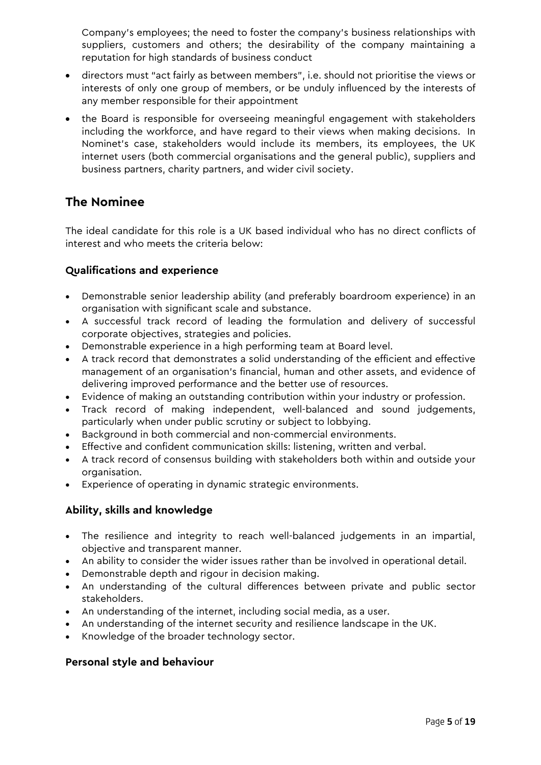Company's employees; the need to foster the company's business relationships with suppliers, customers and others; the desirability of the company maintaining a reputation for high standards of business conduct

- directors must "act fairly as between members", i.e. should not prioritise the views or interests of only one group of members, or be unduly influenced by the interests of any member responsible for their appointment
- the Board is responsible for overseeing meaningful engagement with stakeholders including the workforce, and have regard to their views when making decisions. In Nominet's case, stakeholders would include its members, its employees, the UK internet users (both commercial organisations and the general public), suppliers and business partners, charity partners, and wider civil society.

# **The Nominee**

The ideal candidate for this role is a UK based individual who has no direct conflicts of interest and who meets the criteria below:

## **Qualifications and experience**

- Demonstrable senior leadership ability (and preferably boardroom experience) in an organisation with significant scale and substance.
- A successful track record of leading the formulation and delivery of successful corporate objectives, strategies and policies.
- Demonstrable experience in a high performing team at Board level.
- A track record that demonstrates a solid understanding of the efficient and effective management of an organisation's financial, human and other assets, and evidence of delivering improved performance and the better use of resources.
- Evidence of making an outstanding contribution within your industry or profession.
- Track record of making independent, well-balanced and sound judgements, particularly when under public scrutiny or subject to lobbying.
- Background in both commercial and non-commercial environments.
- Effective and confident communication skills: listening, written and verbal.
- A track record of consensus building with stakeholders both within and outside your organisation.
- Experience of operating in dynamic strategic environments.

## **Ability, skills and knowledge**

- The resilience and integrity to reach well-balanced judgements in an impartial, objective and transparent manner.
- An ability to consider the wider issues rather than be involved in operational detail.
- Demonstrable depth and rigour in decision making.
- An understanding of the cultural differences between private and public sector stakeholders.
- An understanding of the internet, including social media, as a user.
- An understanding of the internet security and resilience landscape in the UK.
- Knowledge of the broader technology sector.

## **Personal style and behaviour**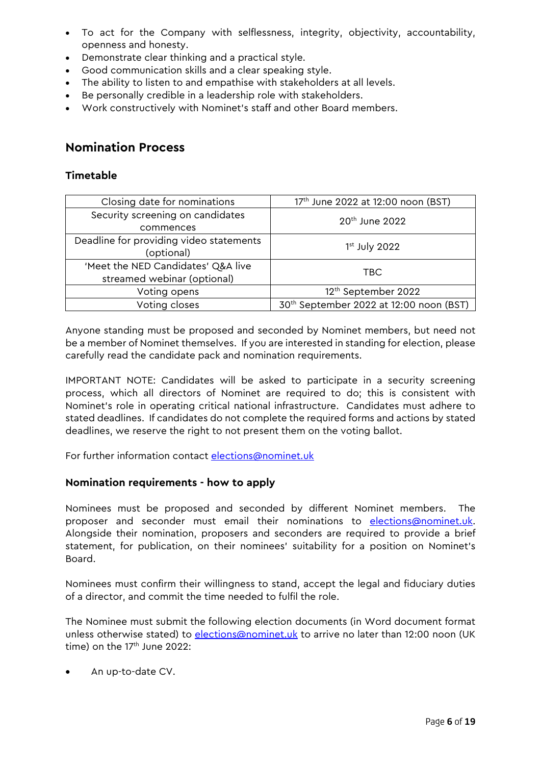- To act for the Company with selflessness, integrity, objectivity, accountability, openness and honesty.
- Demonstrate clear thinking and a practical style.
- Good communication skills and a clear speaking style.
- The ability to listen to and empathise with stakeholders at all levels.
- Be personally credible in a leadership role with stakeholders.
- Work constructively with Nominet's staff and other Board members.

## **Nomination Process**

## **Timetable**

| Closing date for nominations            | 17th June 2022 at 12:00 noon (BST)                  |  |  |  |  |  |  |  |  |  |
|-----------------------------------------|-----------------------------------------------------|--|--|--|--|--|--|--|--|--|
| Security screening on candidates        | 20 <sup>th</sup> June 2022                          |  |  |  |  |  |  |  |  |  |
| commences                               |                                                     |  |  |  |  |  |  |  |  |  |
| Deadline for providing video statements | $1st$ July 2022                                     |  |  |  |  |  |  |  |  |  |
| (optional)                              |                                                     |  |  |  |  |  |  |  |  |  |
| 'Meet the NED Candidates' Q&A live      | TBC                                                 |  |  |  |  |  |  |  |  |  |
| streamed webinar (optional)             |                                                     |  |  |  |  |  |  |  |  |  |
| Voting opens                            | 12 <sup>th</sup> September 2022                     |  |  |  |  |  |  |  |  |  |
| Voting closes                           | 30 <sup>th</sup> September 2022 at 12:00 noon (BST) |  |  |  |  |  |  |  |  |  |

Anyone standing must be proposed and seconded by Nominet members, but need not be a member of Nominet themselves. If you are interested in standing for election, please carefully read the candidate pack and nomination requirements.

IMPORTANT NOTE: Candidates will be asked to participate in a security screening process, which all directors of Nominet are required to do; this is consistent with Nominet's role in operating critical national infrastructure. Candidates must adhere to stated deadlines. If candidates do not complete the required forms and actions by stated deadlines, we reserve the right to not present them on the voting ballot.

For further information contact [elections@nominet.uk](mailto:elections@nominet.uk)

#### **Nomination requirements - how to apply**

Nominees must be proposed and seconded by different Nominet members. The proposer and seconder must email their nominations to [elections@nominet.uk.](mailto:elections@nominet.uk) Alongside their nomination, proposers and seconders are required to provide a brief statement, for publication, on their nominees' suitability for a position on Nominet's Board.

Nominees must confirm their willingness to stand, accept the legal and fiduciary duties of a director, and commit the time needed to fulfil the role.

The Nominee must submit the following election documents (in Word document format unless otherwise stated) to [elections@nominet.uk](mailto:elections@nominet.uk) to arrive no later than 12:00 noon (UK time) on the  $17<sup>th</sup>$  June 2022:

An up-to-date CV.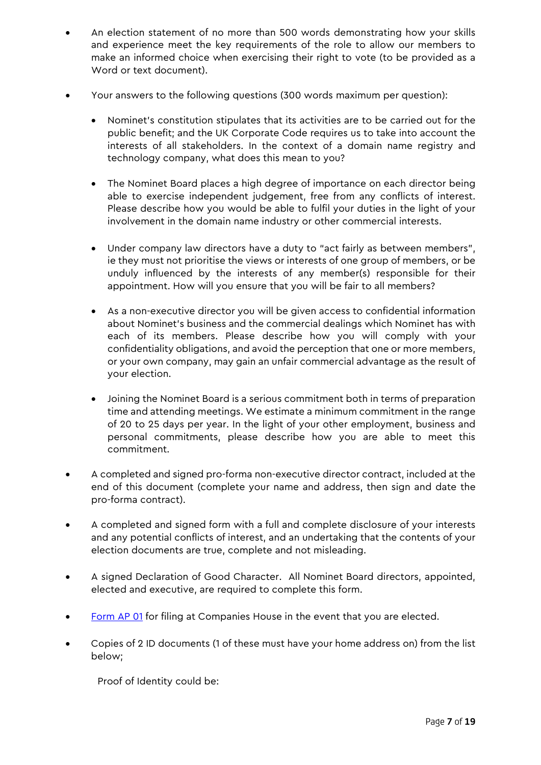- An election statement of no more than 500 words demonstrating how your skills and experience meet the key requirements of the role to allow our members to make an informed choice when exercising their right to vote (to be provided as a Word or text document).
- Your answers to the following questions (300 words maximum per question):
	- Nominet's constitution stipulates that its activities are to be carried out for the public benefit; and the UK Corporate Code requires us to take into account the interests of all stakeholders. In the context of a domain name registry and technology company, what does this mean to you?
	- The Nominet Board places a high degree of importance on each director being able to exercise independent judgement, free from any conflicts of interest. Please describe how you would be able to fulfil your duties in the light of your involvement in the domain name industry or other commercial interests.
	- Under company law directors have a duty to "act fairly as between members", ie they must not prioritise the views or interests of one group of members, or be unduly influenced by the interests of any member(s) responsible for their appointment. How will you ensure that you will be fair to all members?
	- As a non-executive director you will be given access to confidential information about Nominet's business and the commercial dealings which Nominet has with each of its members. Please describe how you will comply with your confidentiality obligations, and avoid the perception that one or more members, or your own company, may gain an unfair commercial advantage as the result of your election.
	- Joining the Nominet Board is a serious commitment both in terms of preparation time and attending meetings. We estimate a minimum commitment in the range of 20 to 25 days per year. In the light of your other employment, business and personal commitments, please describe how you are able to meet this commitment.
- A completed and signed pro-forma non-executive director contract, included at the end of this document (complete your name and address, then sign and date the pro-forma contract).
- A completed and signed form with a full and complete disclosure of your interests and any potential conflicts of interest, and an undertaking that the contents of your election documents are true, complete and not misleading.
- A signed Declaration of Good Character. All Nominet Board directors, appointed, elected and executive, are required to complete this form.
- [Form AP 01](https://assets.publishing.service.gov.uk/government/uploads/system/uploads/attachment_data/file/663997/AP01_v6.pdf) for filing at Companies House in the event that you are elected.
- Copies of 2 ID documents (1 of these must have your home address on) from the list below;

Proof of Identity could be: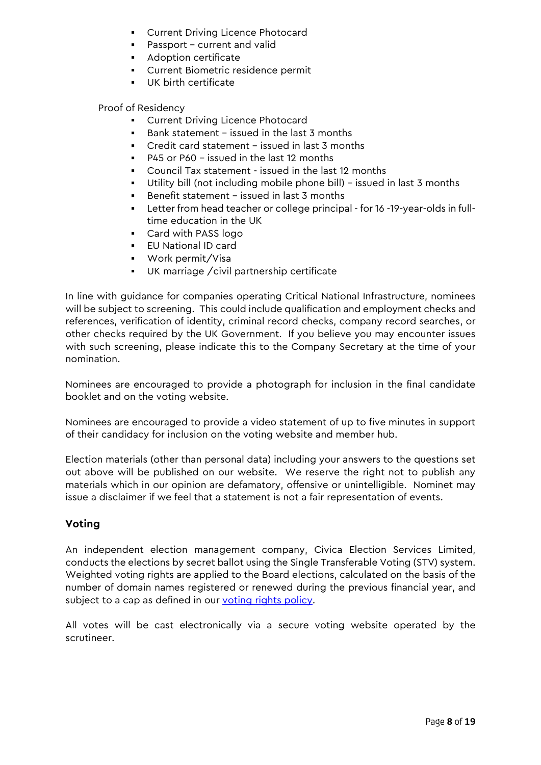- **Current Driving Licence Photocard**
- Passport current and valid
- **Adoption certificate**
- Current Biometric residence permit
- UK birth certificate

Proof of Residency

- **Current Driving Licence Photocard**
- Bank statement issued in the last 3 months
- Credit card statement issued in last 3 months
- P45 or P60 issued in the last 12 months
- Council Tax statement issued in the last 12 months
- Utility bill (not including mobile phone bill) issued in last 3 months
- Benefit statement issued in last 3 months
- Letter from head teacher or college principal for 16 -19-year-olds in fulltime education in the UK
- Card with PASS logo
- EU National ID card
- Work permit/Visa
- UK marriage /civil partnership certificate

In line with guidance for companies operating Critical National Infrastructure, nominees will be subject to screening. This could include qualification and employment checks and references, verification of identity, criminal record checks, company record searches, or other checks required by the UK Government. If you believe you may encounter issues with such screening, please indicate this to the Company Secretary at the time of your nomination.

Nominees are encouraged to provide a photograph for inclusion in the final candidate booklet and on the voting website.

Nominees are encouraged to provide a video statement of up to five minutes in support of their candidacy for inclusion on the voting website and member hub.

Election materials (other than personal data) including your answers to the questions set out above will be published on our website. We reserve the right not to publish any materials which in our opinion are defamatory, offensive or unintelligible. Nominet may issue a disclaimer if we feel that a statement is not a fair representation of events.

## **Voting**

An independent election management company, Civica Election Services Limited, conducts the elections by secret ballot using the Single Transferable Voting (STV) system. Weighted voting rights are applied to the Board elections, calculated on the basis of the number of domain names registered or renewed during the previous financial year, and subject to a cap as defined in our [voting rights policy.](https://media.nominet.uk/wp-content/uploads/2015/08/58367_votingrightspolicy17052012.pdf)

All votes will be cast electronically via a secure voting website operated by the scrutineer.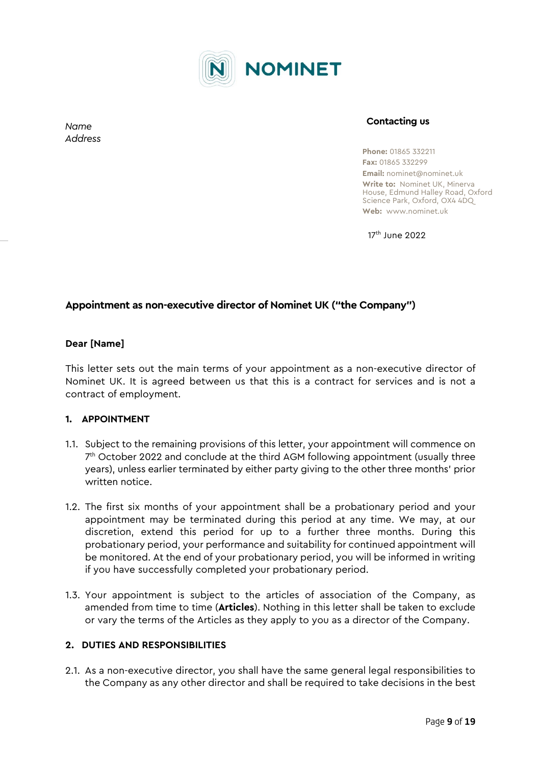

**Contacting us**

**Phone:** 01865 332211 **Fax:** 01865 332299 **Email:** nominet@nominet.uk **Write to:** Nominet UK, Minerva House, Edmund Halley Road, Oxford Science Park, Oxford, OX4 4DQ **Web:** www.nominet.uk

17th June 2022

## **Appointment as non-executive director of Nominet UK ("the Company")**

#### **Dear [Name]**

This letter sets out the main terms of your appointment as a non-executive director of Nominet UK. It is agreed between us that this is a contract for services and is not a contract of employment.

#### **1. APPOINTMENT**

- 1.1. Subject to the remaining provisions of this letter, your appointment will commence on  $7<sup>th</sup>$  October 2022 and conclude at the third AGM following appointment (usually three years), unless earlier terminated by either party giving to the other three months' prior written notice.
- 1.2. The first six months of your appointment shall be a probationary period and your appointment may be terminated during this period at any time. We may, at our discretion, extend this period for up to a further three months. During this probationary period, your performance and suitability for continued appointment will be monitored. At the end of your probationary period, you will be informed in writing if you have successfully completed your probationary period.
- 1.3. Your appointment is subject to the articles of association of the Company, as amended from time to time (**Articles**). Nothing in this letter shall be taken to exclude or vary the terms of the Articles as they apply to you as a director of the Company.

#### **2. DUTIES AND RESPONSIBILITIES**

2.1. As a non-executive director, you shall have the same general legal responsibilities to the Company as any other director and shall be required to take decisions in the best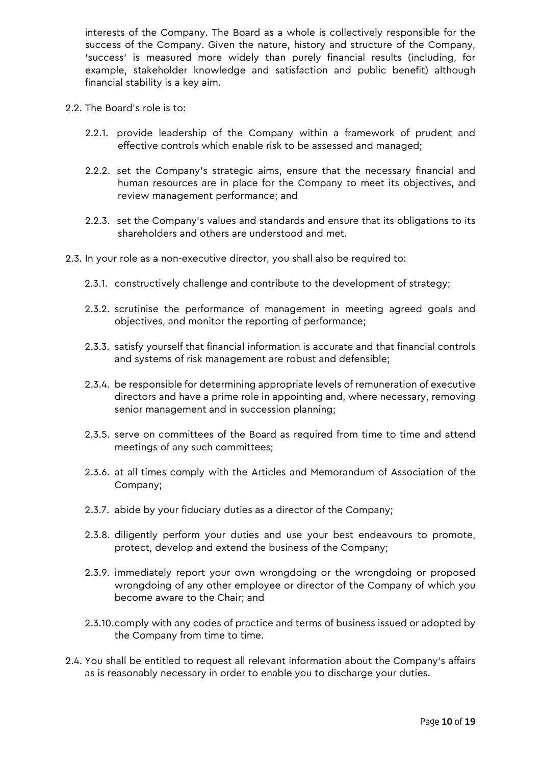interests of the Company. The Board as a whole is collectively responsible for the success of the Company. Given the nature, history and structure of the Company, 'success' is measured more widely than purely financial results (including, for example, stakeholder knowledge and satisfaction and public benefit) although financial stability is a key aim.

- 2.2. The Board's role is to:
	- 2.2.1. provide leadership of the Company within a framework of prudent and effective controls which enable risk to be assessed and managed;
	- 2.2.2. set the Company's strategic aims, ensure that the necessary financial and human resources are in place for the Company to meet its objectives, and review management performance; and
	- 2.2.3. set the Company's values and standards and ensure that its obligations to its shareholders and others are understood and met.
- 2.3. In your role as a non-executive director, you shall also be required to:
	- 2.3.1. constructively challenge and contribute to the development of strategy;
	- 2.3.2. scrutinise the performance of management in meeting agreed goals and objectives, and monitor the reporting of performance;
	- 2.3.3. satisfy yourself that financial information is accurate and that financial controls and systems of risk management are robust and defensible;
	- 2.3.4. be responsible for determining appropriate levels of remuneration of executive directors and have a prime role in appointing and, where necessary, removing senior management and in succession planning;
	- 2.3.5. serve on committees of the Board as required from time to time and attend meetings of any such committees;
	- 2.3.6. at all times comply with the Articles and Memorandum of Association of the Company;
	- 2.3.7. abide by your fiduciary duties as a director of the Company;
	- 2.3.8. diligently perform your duties and use your best endeavours to promote, protect, develop and extend the business of the Company;
	- 2.3.9. immediately report your own wrongdoing or the wrongdoing or proposed wrongdoing of any other employee or director of the Company of which you become aware to the Chair; and
	- 2.3.10.comply with any codes of practice and terms of business issued or adopted by the Company from time to time.
- 2.4. You shall be entitled to request all relevant information about the Company's affairs as is reasonably necessary in order to enable you to discharge your duties.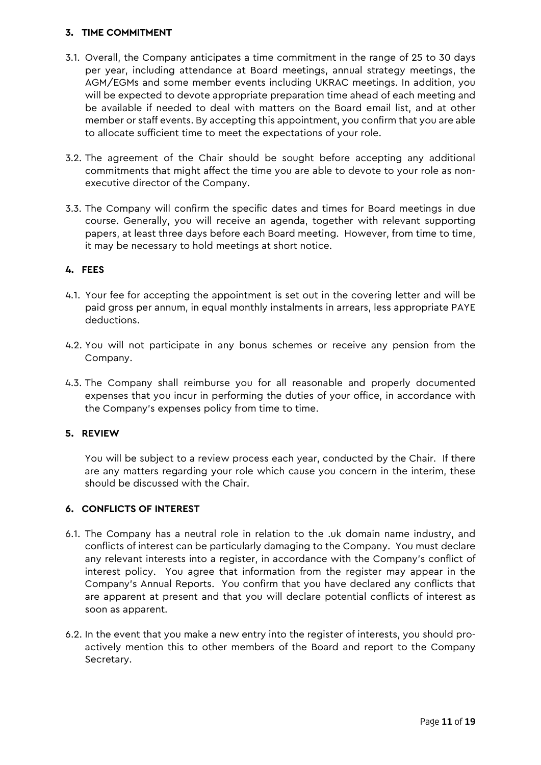### **3. TIME COMMITMENT**

- 3.1. Overall, the Company anticipates a time commitment in the range of 25 to 30 days per year, including attendance at Board meetings, annual strategy meetings, the AGM/EGMs and some member events including UKRAC meetings. In addition, you will be expected to devote appropriate preparation time ahead of each meeting and be available if needed to deal with matters on the Board email list, and at other member or staff events. By accepting this appointment, you confirm that you are able to allocate sufficient time to meet the expectations of your role.
- 3.2. The agreement of the Chair should be sought before accepting any additional commitments that might affect the time you are able to devote to your role as nonexecutive director of the Company.
- 3.3. The Company will confirm the specific dates and times for Board meetings in due course. Generally, you will receive an agenda, together with relevant supporting papers, at least three days before each Board meeting. However, from time to time, it may be necessary to hold meetings at short notice.

### **4. FEES**

- 4.1. Your fee for accepting the appointment is set out in the covering letter and will be paid gross per annum, in equal monthly instalments in arrears, less appropriate PAYE deductions.
- 4.2. You will not participate in any bonus schemes or receive any pension from the Company.
- 4.3. The Company shall reimburse you for all reasonable and properly documented expenses that you incur in performing the duties of your office, in accordance with the Company's expenses policy from time to time.

#### **5. REVIEW**

You will be subject to a review process each year, conducted by the Chair. If there are any matters regarding your role which cause you concern in the interim, these should be discussed with the Chair.

## **6. CONFLICTS OF INTEREST**

- 6.1. The Company has a neutral role in relation to the .uk domain name industry, and conflicts of interest can be particularly damaging to the Company. You must declare any relevant interests into a register, in accordance with the Company's conflict of interest policy. You agree that information from the register may appear in the Company's Annual Reports. You confirm that you have declared any conflicts that are apparent at present and that you will declare potential conflicts of interest as soon as apparent.
- 6.2. In the event that you make a new entry into the register of interests, you should proactively mention this to other members of the Board and report to the Company Secretary.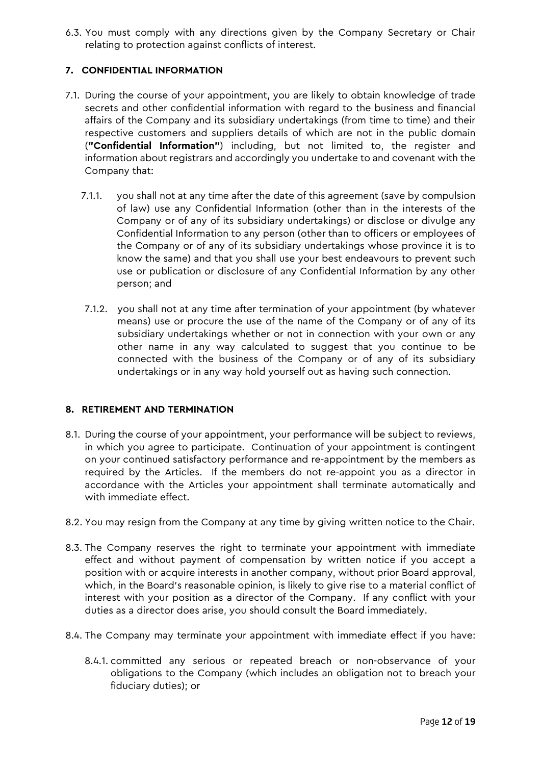6.3. You must comply with any directions given by the Company Secretary or Chair relating to protection against conflicts of interest.

### **7. CONFIDENTIAL INFORMATION**

- 7.1. During the course of your appointment, you are likely to obtain knowledge of trade secrets and other confidential information with regard to the business and financial affairs of the Company and its subsidiary undertakings (from time to time) and their respective customers and suppliers details of which are not in the public domain (**"Confidential Information"**) including, but not limited to, the register and information about registrars and accordingly you undertake to and covenant with the Company that:
	- 7.1.1. you shall not at any time after the date of this agreement (save by compulsion of law) use any Confidential Information (other than in the interests of the Company or of any of its subsidiary undertakings) or disclose or divulge any Confidential Information to any person (other than to officers or employees of the Company or of any of its subsidiary undertakings whose province it is to know the same) and that you shall use your best endeavours to prevent such use or publication or disclosure of any Confidential Information by any other person; and
	- 7.1.2. you shall not at any time after termination of your appointment (by whatever means) use or procure the use of the name of the Company or of any of its subsidiary undertakings whether or not in connection with your own or any other name in any way calculated to suggest that you continue to be connected with the business of the Company or of any of its subsidiary undertakings or in any way hold yourself out as having such connection.

#### **8. RETIREMENT AND TERMINATION**

- 8.1. During the course of your appointment, your performance will be subject to reviews, in which you agree to participate. Continuation of your appointment is contingent on your continued satisfactory performance and re-appointment by the members as required by the Articles. If the members do not re-appoint you as a director in accordance with the Articles your appointment shall terminate automatically and with immediate effect.
- 8.2. You may resign from the Company at any time by giving written notice to the Chair.
- 8.3. The Company reserves the right to terminate your appointment with immediate effect and without payment of compensation by written notice if you accept a position with or acquire interests in another company, without prior Board approval, which, in the Board's reasonable opinion, is likely to give rise to a material conflict of interest with your position as a director of the Company. If any conflict with your duties as a director does arise, you should consult the Board immediately.
- 8.4. The Company may terminate your appointment with immediate effect if you have:
	- 8.4.1. committed any serious or repeated breach or non-observance of your obligations to the Company (which includes an obligation not to breach your fiduciary duties); or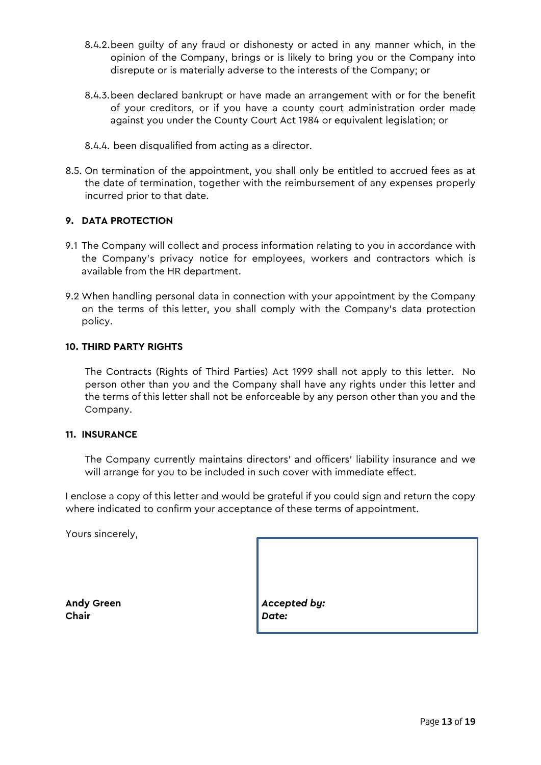- 8.4.2.been guilty of any fraud or dishonesty or acted in any manner which, in the opinion of the Company, brings or is likely to bring you or the Company into disrepute or is materially adverse to the interests of the Company; or
- 8.4.3.been declared bankrupt or have made an arrangement with or for the benefit of your creditors, or if you have a county court administration order made against you under the County Court Act 1984 or equivalent legislation; or
- 8.4.4. been disqualified from acting as a director.
- 8.5. On termination of the appointment, you shall only be entitled to accrued fees as at the date of termination, together with the reimbursement of any expenses properly incurred prior to that date.

### **9. DATA PROTECTION**

- 9.1 The Company will collect and process information relating to you in accordance with the Company's privacy notice for employees, workers and contractors which is available from the HR department.
- 9.2 When handling personal data in connection with your appointment by the Company on the terms of this letter, you shall comply with the Company's data protection policy.

#### **10. THIRD PARTY RIGHTS**

The Contracts (Rights of Third Parties) Act 1999 shall not apply to this letter. No person other than you and the Company shall have any rights under this letter and the terms of this letter shall not be enforceable by any person other than you and the Company.

#### **11. INSURANCE**

The Company currently maintains directors' and officers' liability insurance and we will arrange for you to be included in such cover with immediate effect.

I enclose a copy of this letter and would be grateful if you could sign and return the copy where indicated to confirm your acceptance of these terms of appointment.

Yours sincerely,

**Chair** *Date:*

**Andy Green** *Accepted by:*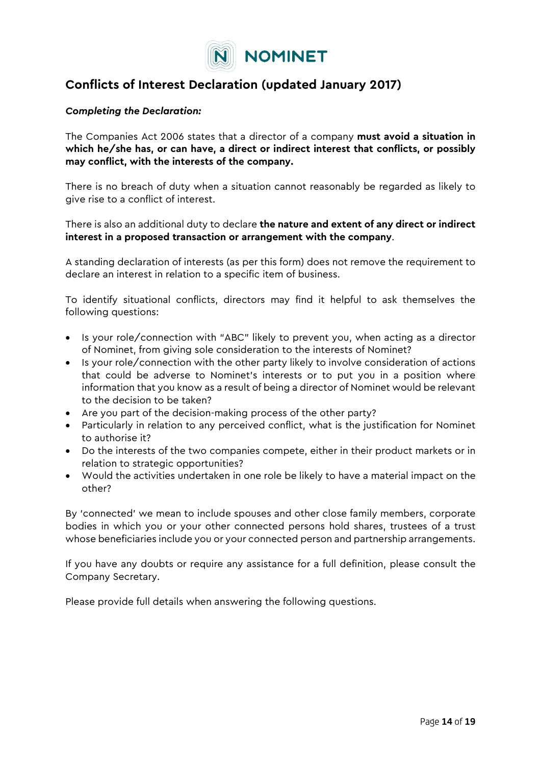

# **Conflicts of Interest Declaration (updated January 2017)**

#### *Completing the Declaration:*

The Companies Act 2006 states that a director of a company **must avoid a situation in which he/she has, or can have, a direct or indirect interest that conflicts, or possibly may conflict, with the interests of the company.** 

There is no breach of duty when a situation cannot reasonably be regarded as likely to give rise to a conflict of interest.

There is also an additional duty to declare **the nature and extent of any direct or indirect interest in a proposed transaction or arrangement with the company**.

A standing declaration of interests (as per this form) does not remove the requirement to declare an interest in relation to a specific item of business.

To identify situational conflicts, directors may find it helpful to ask themselves the following questions:

- Is your role/connection with "ABC" likely to prevent you, when acting as a director of Nominet, from giving sole consideration to the interests of Nominet?
- Is your role/connection with the other party likely to involve consideration of actions that could be adverse to Nominet's interests or to put you in a position where information that you know as a result of being a director of Nominet would be relevant to the decision to be taken?
- Are you part of the decision-making process of the other party?
- Particularly in relation to any perceived conflict, what is the justification for Nominet to authorise it?
- Do the interests of the two companies compete, either in their product markets or in relation to strategic opportunities?
- Would the activities undertaken in one role be likely to have a material impact on the other?

By 'connected' we mean to include spouses and other close family members, corporate bodies in which you or your other connected persons hold shares, trustees of a trust whose beneficiaries include you or your connected person and partnership arrangements.

If you have any doubts or require any assistance for a full definition, please consult the Company Secretary.

Please provide full details when answering the following questions.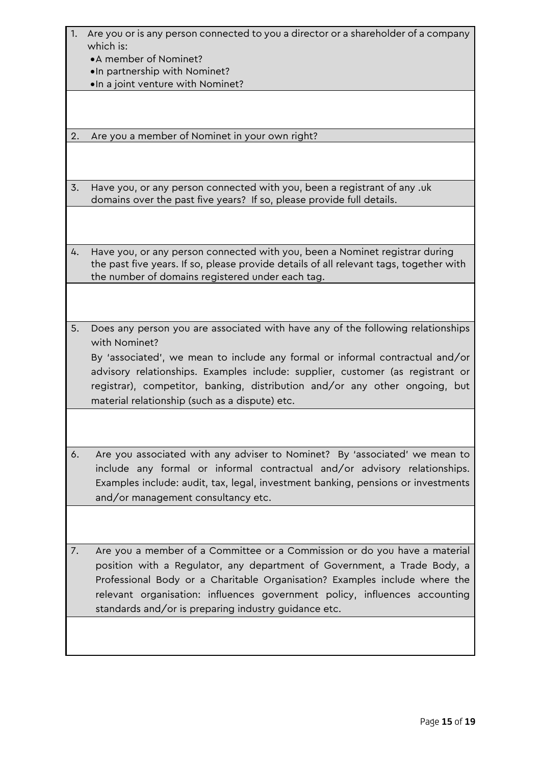- 1. Are you or is any person connected to you a director or a shareholder of a company which is:
	- •A member of Nominet?
	- •In partnership with Nominet?
	- •In a joint venture with Nominet?

2. Are you a member of Nominet in your own right?

3. Have you, or any person connected with you, been a registrant of any .uk domains over the past five years? If so, please provide full details.

4. Have you, or any person connected with you, been a Nominet registrar during the past five years. If so, please provide details of all relevant tags, together with the number of domains registered under each tag.

5. Does any person you are associated with have any of the following relationships with Nominet?

By 'associated', we mean to include any formal or informal contractual and/or advisory relationships. Examples include: supplier, customer (as registrant or registrar), competitor, banking, distribution and/or any other ongoing, but material relationship (such as a dispute) etc.

6. Are you associated with any adviser to Nominet? By 'associated' we mean to include any formal or informal contractual and/or advisory relationships. Examples include: audit, tax, legal, investment banking, pensions or investments and/or management consultancy etc.

7. Are you a member of a Committee or a Commission or do you have a material position with a Regulator, any department of Government, a Trade Body, a Professional Body or a Charitable Organisation? Examples include where the relevant organisation: influences government policy, influences accounting standards and/or is preparing industry guidance etc.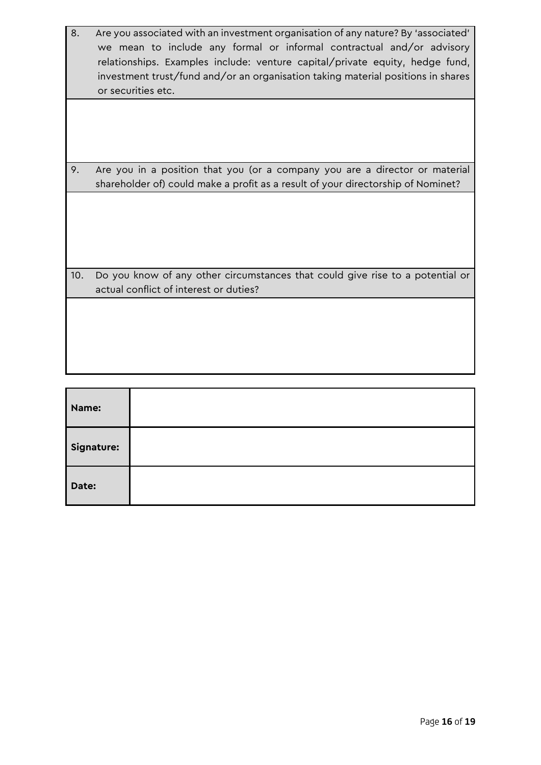- 8. Are you associated with an investment organisation of any nature? By 'associated' we mean to include any formal or informal contractual and/or advisory relationships. Examples include: venture capital/private equity, hedge fund, investment trust/fund and/or an organisation taking material positions in shares or securities etc.
- 9. Are you in a position that you (or a company you are a director or material shareholder of) could make a profit as a result of your directorship of Nominet?

10. Do you know of any other circumstances that could give rise to a potential or actual conflict of interest or duties?

| Name:      |  |
|------------|--|
| Signature: |  |
| Date:      |  |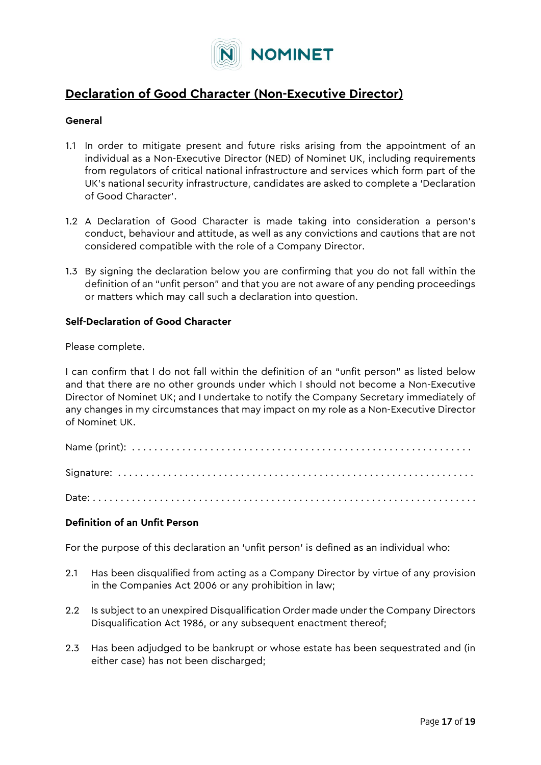

# **Declaration of Good Character (Non-Executive Director)**

#### **General**

- 1.1 In order to mitigate present and future risks arising from the appointment of an individual as a Non-Executive Director (NED) of Nominet UK, including requirements from regulators of critical national infrastructure and services which form part of the UK's national security infrastructure, candidates are asked to complete a 'Declaration of Good Character'.
- 1.2 A Declaration of Good Character is made taking into consideration a person's conduct, behaviour and attitude, as well as any convictions and cautions that are not considered compatible with the role of a Company Director.
- 1.3 By signing the declaration below you are confirming that you do not fall within the definition of an "unfit person" and that you are not aware of any pending proceedings or matters which may call such a declaration into question.

#### **Self-Declaration of Good Character**

Please complete.

I can confirm that I do not fall within the definition of an "unfit person" as listed below and that there are no other grounds under which I should not become a Non-Executive Director of Nominet UK; and I undertake to notify the Company Secretary immediately of any changes in my circumstances that may impact on my role as a Non-Executive Director of Nominet UK.

Date: . . . . . . . . . . . . . . . . . . . . . . . . . . . . . . . . . . . . . . . . . . . . . . . . . . . . . . . . . . . . . . . . . . . . .

#### **Definition of an Unfit Person**

For the purpose of this declaration an 'unfit person' is defined as an individual who:

- 2.1 Has been disqualified from acting as a Company Director by virtue of any provision in the Companies Act 2006 or any prohibition in law;
- 2.2 Is subject to an unexpired Disqualification Order made under the Company Directors Disqualification Act 1986, or any subsequent enactment thereof;
- 2.3 Has been adjudged to be bankrupt or whose estate has been sequestrated and (in either case) has not been discharged;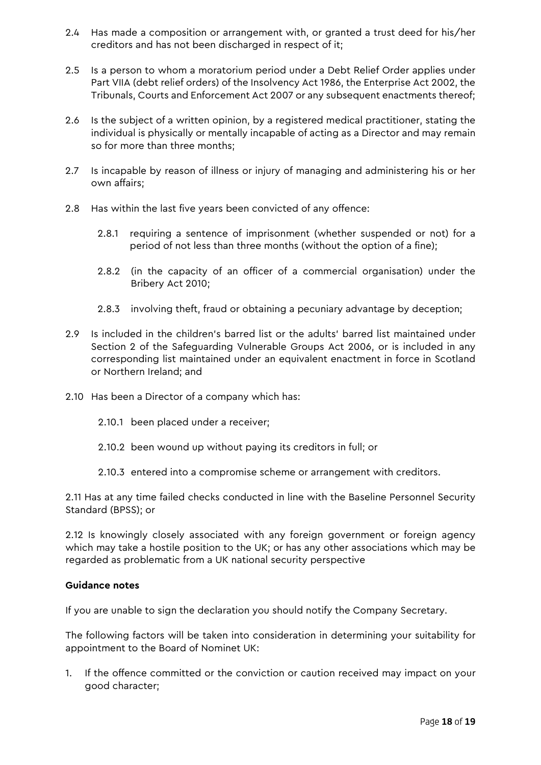- 2.4 Has made a composition or arrangement with, or granted a trust deed for his/her creditors and has not been discharged in respect of it;
- 2.5 Is a person to whom a moratorium period under a Debt Relief Order applies under Part VIIA (debt relief orders) of the Insolvency Act 1986, the Enterprise Act 2002, the Tribunals, Courts and Enforcement Act 2007 or any subsequent enactments thereof;
- 2.6 Is the subject of a written opinion, by a registered medical practitioner, stating the individual is physically or mentally incapable of acting as a Director and may remain so for more than three months;
- 2.7 Is incapable by reason of illness or injury of managing and administering his or her own affairs;
- 2.8 Has within the last five years been convicted of any offence:
	- 2.8.1 requiring a sentence of imprisonment (whether suspended or not) for a period of not less than three months (without the option of a fine);
	- 2.8.2 (in the capacity of an officer of a commercial organisation) under the Bribery Act 2010;
	- 2.8.3 involving theft, fraud or obtaining a pecuniary advantage by deception;
- 2.9 Is included in the children's barred list or the adults' barred list maintained under Section 2 of the Safeguarding Vulnerable Groups Act 2006, or is included in any corresponding list maintained under an equivalent enactment in force in Scotland or Northern Ireland; and
- 2.10 Has been a Director of a company which has:
	- 2.10.1 been placed under a receiver;
	- 2.10.2 been wound up without paying its creditors in full; or
	- 2.10.3 entered into a compromise scheme or arrangement with creditors.

2.11 Has at any time failed checks conducted in line with the Baseline Personnel Security Standard (BPSS); or

2.12 Is knowingly closely associated with any foreign government or foreign agency which may take a hostile position to the UK; or has any other associations which may be regarded as problematic from a UK national security perspective

#### **Guidance notes**

If you are unable to sign the declaration you should notify the Company Secretary.

The following factors will be taken into consideration in determining your suitability for appointment to the Board of Nominet UK:

1. If the offence committed or the conviction or caution received may impact on your good character;